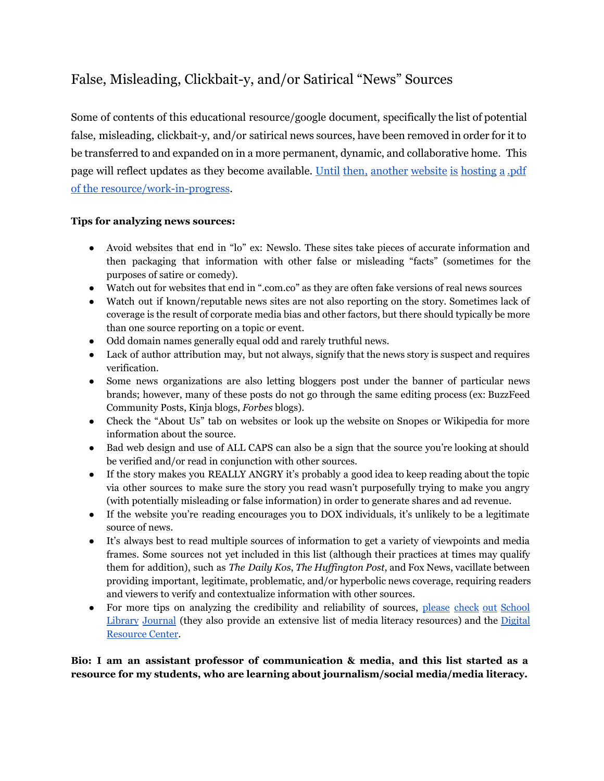## False, Misleading, Clickbait-y, and/or Satirical "News" Sources

Some of contents of this educational resource/google document, specifically the list of potential false, misleading, clickbait-y, and/or satirical news sources, have been removed in order for it to be transferred to and expanded on in a more permanent, dynamic, and collaborative home. This page will reflect updates as they become available. Until then, [another](http://d279m997dpfwgl.cloudfront.net/wp/2016/11/Resource-False-Misleading-Clickbait-y-and-Satirical-%E2%80%9CNews%E2%80%9D-Sources-1.pdf) website is hosting a .pdf [of the resource/work-in-progress](http://d279m997dpfwgl.cloudfront.net/wp/2016/11/Resource-False-Misleading-Clickbait-y-and-Satirical-%E2%80%9CNews%E2%80%9D-Sources-1.pdf).

## **Tips for analyzing news sources:**

- Avoid websites that end in "lo" ex: Newslo. These sites take pieces of accurate information and then packaging that information with other false or misleading "facts" (sometimes for the purposes of satire or comedy).
- Watch out for websites that end in ".com.co" as they are often fake versions of real news sources
- Watch out if known/reputable news sites are not also reporting on the story. Sometimes lack of coverage is the result of corporate media bias and other factors, but there should typically be more than one source reporting on a topic or event.
- Odd domain names generally equal odd and rarely truthful news.
- Lack of author attribution may, but not always, signify that the news story is suspect and requires verification.
- Some news organizations are also letting bloggers post under the banner of particular news brands; however, many of these posts do not go through the same editing process (ex: BuzzFeed Community Posts, Kinja blogs, *Forbes* blogs).
- Check the "About Us" tab on websites or look up the website on Snopes or Wikipedia for more information about the source.
- Bad web design and use of ALL CAPS can also be a sign that the source you're looking at should be verified and/or read in conjunction with other sources.
- If the story makes you REALLY ANGRY it's probably a good idea to keep reading about the topic via other sources to make sure the story you read wasn't purposefully trying to make you angry (with potentially misleading or false information) in order to generate shares and ad revenue.
- If the website you're reading encourages you to DOX individuals, it's unlikely to be a legitimate source of news.
- It's always best to read multiple sources of information to get a variety of viewpoints and media frames. Some sources not yet included in this list (although their practices at times may qualify them for addition), such as *The Daily Kos*, *The Huf ington Post*, and Fox News, vacillate between providing important, legitimate, problematic, and/or hyperbolic news coverage, requiring readers and viewers to verify and contextualize information with other sources.
- For more tips on analyzing the credibility and reliability of sources, please check out [School](http://blogs.slj.com/neverendingsearch/2016/11/26/truth-truthiness-triangulation-and-the-librarian-way-a-news-literacy-toolkit-for-a-post-truth-world/) Library [Journal](http://blogs.slj.com/neverendingsearch/2016/11/26/truth-truthiness-triangulation-and-the-librarian-way-a-news-literacy-toolkit-for-a-post-truth-world/) (they also provide an extensive list of media literacy resources) and the [Digital](http://drc.centerfornewsliteracy.org/) [Resource Center.](http://drc.centerfornewsliteracy.org/)

**Bio: I am an [a](http://www.merrimack.edu/live/profiles/586-melissa-mish-zimdars)ssistant professor of communication & media, and this list started as a resource for my students, who are learning about journalism/social media/media literacy.**